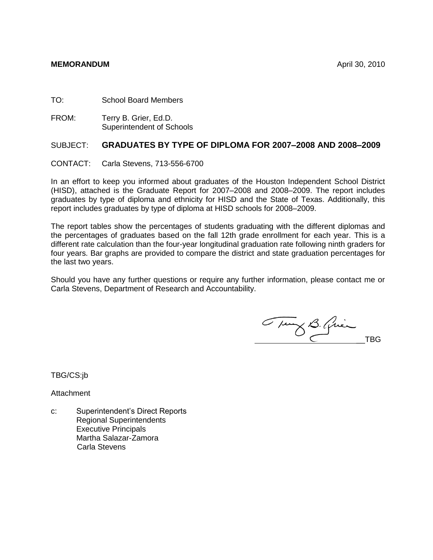TO: School Board Members

FROM: Terry B. Grier, Ed.D. Superintendent of Schools

## SUBJECT: **GRADUATES BY TYPE OF DIPLOMA FOR 2007–2008 AND 2008–2009**

CONTACT: Carla Stevens, 713-556-6700

In an effort to keep you informed about graduates of the Houston Independent School District (HISD), attached is the Graduate Report for 2007–2008 and 2008–2009. The report includes graduates by type of diploma and ethnicity for HISD and the State of Texas. Additionally, this report includes graduates by type of diploma at HISD schools for 2008–2009.

The report tables show the percentages of students graduating with the different diplomas and the percentages of graduates based on the fall 12th grade enrollment for each year. This is a different rate calculation than the four-year longitudinal graduation rate following ninth graders for four years. Bar graphs are provided to compare the district and state graduation percentages for the last two years.

Should you have any further questions or require any further information, please contact me or Carla Stevens, Department of Research and Accountability.

Tung B. Quien

TBG/CS:jb

Attachment

c: Superintendent's Direct Reports Regional Superintendents Executive Principals Martha Salazar-Zamora Carla Stevens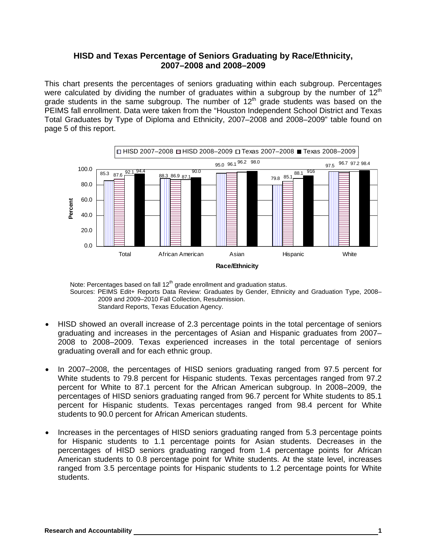## **HISD and Texas Percentage of Seniors Graduating by Race/Ethnicity, 2007–2008 and 2008–2009**

This chart presents the percentages of seniors graduating within each subgroup. Percentages were calculated by dividing the number of graduates within a subgroup by the number of  $12<sup>th</sup>$ grade students in the same subgroup. The number of  $12<sup>th</sup>$  grade students was based on the PEIMS fall enrollment. Data were taken from the "Houston Independent School District and Texas Total Graduates by Type of Diploma and Ethnicity, 2007–2008 and 2008–2009" table found on page 5 of this report.



Note: Percentages based on fall 12<sup>th</sup> grade enrollment and graduation status. Sources: PEIMS Edit+ Reports Data Review: Graduates by Gender, Ethnicity and Graduation Type, 2008– 2009 and 2009–2010 Fall Collection, Resubmission. Standard Reports, Texas Education Agency.

- HISD showed an overall increase of 2.3 percentage points in the total percentage of seniors graduating and increases in the percentages of Asian and Hispanic graduates from 2007– 2008 to 2008–2009. Texas experienced increases in the total percentage of seniors graduating overall and for each ethnic group.
- In 2007–2008, the percentages of HISD seniors graduating ranged from 97.5 percent for White students to 79.8 percent for Hispanic students. Texas percentages ranged from 97.2 percent for White to 87.1 percent for the African American subgroup. In 2008–2009, the percentages of HISD seniors graduating ranged from 96.7 percent for White students to 85.1 percent for Hispanic students. Texas percentages ranged from 98.4 percent for White students to 90.0 percent for African American students.
- Increases in the percentages of HISD seniors graduating ranged from 5.3 percentage points for Hispanic students to 1.1 percentage points for Asian students. Decreases in the percentages of HISD seniors graduating ranged from 1.4 percentage points for African American students to 0.8 percentage point for White students. At the state level, increases ranged from 3.5 percentage points for Hispanic students to 1.2 percentage points for White students.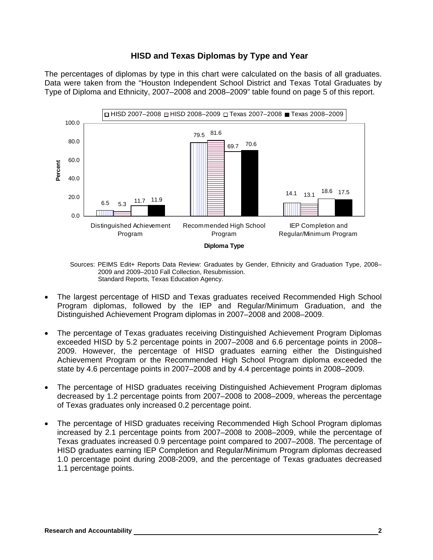## **HISD and Texas Diplomas by Type and Year**

The percentages of diplomas by type in this chart were calculated on the basis of all graduates. Data were taken from the "Houston Independent School District and Texas Total Graduates by Type of Diploma and Ethnicity, 2007–2008 and 2008–2009" table found on page 5 of this report.



Sources: PEIMS Edit+ Reports Data Review: Graduates by Gender, Ethnicity and Graduation Type, 2008– 2009 and 2009–2010 Fall Collection, Resubmission. Standard Reports, Texas Education Agency.

- The largest percentage of HISD and Texas graduates received Recommended High School Program diplomas, followed by the IEP and Regular/Minimum Graduation, and the Distinguished Achievement Program diplomas in 2007–2008 and 2008–2009.
- The percentage of Texas graduates receiving Distinguished Achievement Program Diplomas exceeded HISD by 5.2 percentage points in 2007–2008 and 6.6 percentage points in 2008– 2009. However, the percentage of HISD graduates earning either the Distinguished Achievement Program or the Recommended High School Program diploma exceeded the state by 4.6 percentage points in 2007–2008 and by 4.4 percentage points in 2008–2009.
- The percentage of HISD graduates receiving Distinguished Achievement Program diplomas decreased by 1.2 percentage points from 2007–2008 to 2008–2009, whereas the percentage of Texas graduates only increased 0.2 percentage point.
- The percentage of HISD graduates receiving Recommended High School Program diplomas increased by 2.1 percentage points from 2007–2008 to 2008–2009, while the percentage of Texas graduates increased 0.9 percentage point compared to 2007–2008. The percentage of HISD graduates earning IEP Completion and Regular/Minimum Program diplomas decreased 1.0 percentage point during 2008-2009, and the percentage of Texas graduates decreased 1.1 percentage points.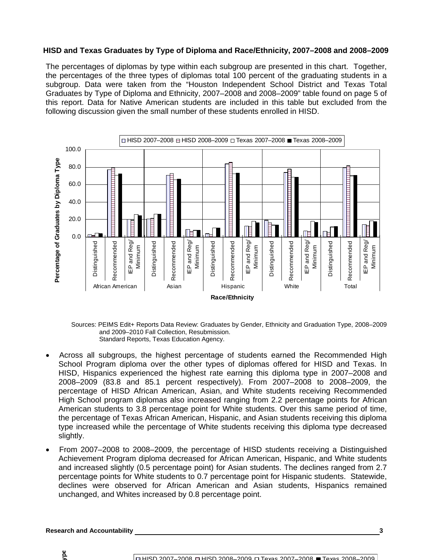#### **HISD and Texas Graduates by Type of Diploma and Race/Ethnicity, 2007–2008 and 2008–2009**

The percentages of diplomas by type within each subgroup are presented in this chart. Together, the percentages of the three types of diplomas total 100 percent of the graduating students in a subgroup. Data were taken from the "Houston Independent School District and Texas Total Graduates by Type of Diploma and Ethnicity, 2007–2008 and 2008–2009" table found on page 5 of this report. Data for Native American students are included in this table but excluded from the following discussion given the small number of these students enrolled in HISD.



Sources: PEIMS Edit+ Reports Data Review: Graduates by Gender, Ethnicity and Graduation Type, 2008–2009 and 2009–2010 Fall Collection, Resubmission. Standard Reports, Texas Education Agency.

- Across all subgroups, the highest percentage of students earned the Recommended High School Program diploma over the other types of diplomas offered for HISD and Texas. In HISD, Hispanics experienced the highest rate earning this diploma type in 2007–2008 and 2008–2009 (83.8 and 85.1 percent respectively). From 2007–2008 to 2008–2009, the percentage of HISD African American, Asian, and White students receiving Recommended High School program diplomas also increased ranging from 2.2 percentage points for African American students to 3.8 percentage point for White students. Over this same period of time, the percentage of Texas African American, Hispanic, and Asian students receiving this diploma type increased while the percentage of White students receiving this diploma type decreased slightly.
- From 2007–2008 to 2008–2009, the percentage of HISD students receiving a Distinguished Achievement Program diploma decreased for African American, Hispanic, and White students and increased slightly (0.5 percentage point) for Asian students. The declines ranged from 2.7 percentage points for White students to 0.7 percentage point for Hispanic students. Statewide, declines were observed for African American and Asian students, Hispanics remained unchanged, and Whites increased by 0.8 percentage point.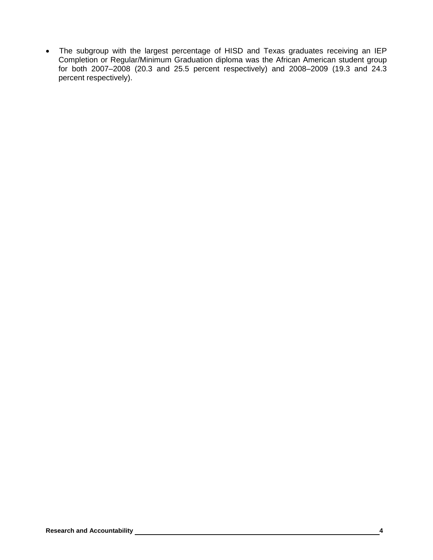• The subgroup with the largest percentage of HISD and Texas graduates receiving an IEP Completion or Regular/Minimum Graduation diploma was the African American student group for both 2007–2008 (20.3 and 25.5 percent respectively) and 2008–2009 (19.3 and 24.3 percent respectively).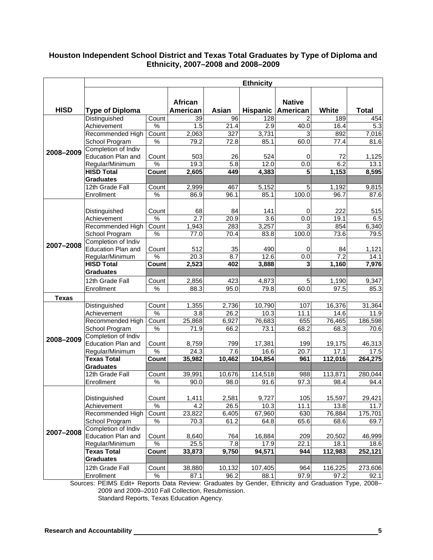## **Houston Independent School District and Texas Total Graduates by Type of Diploma and Ethnicity, 2007–2008 and 2008–2009**

|              | <b>Ethnicity</b>                          |                        |                   |                    |                |                        |                 |                 |
|--------------|-------------------------------------------|------------------------|-------------------|--------------------|----------------|------------------------|-----------------|-----------------|
| <b>HISD</b>  |                                           |                        | African           |                    |                | <b>Native</b>          |                 |                 |
|              | <b>Type of Diploma</b>                    |                        | American          | Asian              |                | Hispanic   American    | White           | <b>Total</b>    |
| 2008-2009    | Distinguished                             | Count                  | 39                | 96                 | 128            | 2                      | 189             | 454             |
|              | Achievement                               | %                      | 1.5               | 21.4               | 2.9            | 40.0                   | 16.4            | 5.3             |
|              | Recommended High                          | Count<br>$\frac{9}{6}$ | 2,063             | 327                | 3,731          |                        | 892             | 7,016           |
|              | School Program                            |                        | 79.2              | 72.8               | 85.1           | 60.0                   | 77.4            | 81.6            |
|              | Completion of Indiv                       |                        |                   |                    |                |                        |                 |                 |
|              | Education Plan and                        | Count<br>$\%$          | 503               | 26                 | 524            | 0<br>0.0               | 72              | 1,125           |
|              | Regular/Minimum<br><b>HISD Total</b>      | Count                  | 19.3<br>2,605     | 5.8<br>449         | 12.0<br>4,383  | 5                      | 6.2<br>1,153    | 13.1<br>8,595   |
|              | <b>Graduates</b>                          |                        |                   |                    |                |                        |                 |                 |
|              | 12th Grade Fall                           | Count                  | 2,999             | 467                | 5,152          | 5                      | 1,192           | 9,815           |
|              | Enrollment                                | %                      | 86.9              | 96.1               | 85.1           | 100.0                  | 96.7            | 87.6            |
|              |                                           |                        |                   |                    |                |                        |                 |                 |
|              |                                           | Count                  | 68                | 84                 | 141            |                        | 222             | 515             |
|              | Distinguished                             | $\%$                   | 2.7               |                    |                | 0<br>$\overline{0.0}$  |                 |                 |
|              | Achievement                               |                        |                   | 20.9<br>283        | 3.6<br>3,257   | 3                      | 19.1<br>854     | 6.5             |
|              | Recommended High                          | Count<br>%             | 1,943<br>77.0     | 70.4               |                | 100.0                  | 73.6            | 6,340<br>79.5   |
|              | School Program<br>Completion of Indiv     |                        |                   |                    | 83.8           |                        |                 |                 |
| 2007-2008    | <b>Education Plan and</b>                 | Count                  | 512               | 35                 | 490            | 0                      | 84              |                 |
|              | Regular/Minimum                           | $\frac{9}{6}$          | 20.3              | 8.7                | 12.6           | 0.0                    | 7.2             | 1,121<br>14.1   |
|              | <b>HISD Total</b>                         | Count                  | 2,523             | 402                | 3,888          | 3                      | 1,160           | 7,976           |
|              | <b>Graduates</b>                          |                        |                   |                    |                |                        |                 |                 |
|              | 12th Grade Fall                           |                        |                   |                    |                |                        |                 |                 |
|              |                                           | Count                  | 2,856<br>88.3     | 423<br>95.0        | 4,873<br>79.8  | 5 <sup>1</sup><br>60.0 | 1,190<br>97.5   | 9,347           |
|              | Enrollment                                | %                      |                   |                    |                |                        |                 | 85.3            |
| <b>Texas</b> |                                           |                        |                   |                    |                |                        |                 |                 |
|              | Distinguished                             | Count                  | 1,355             | $\overline{2,736}$ | 10,790         | 107                    | 16,376          | 31,364          |
|              | Achievement                               | $\frac{9}{6}$          | 3.8               | 26.2               | 10.3           | 11.1                   | 14.6            | 11.9            |
|              | Recommended High                          | Count                  | 25,868            | 6,927              | 76,683         | 655                    | 76,465          | 186,598         |
|              | School Program                            | %                      | 71.9              | 66.2               | 73.1           | 68.2                   | 68.3            | 70.6            |
| 2008-2009    | Completion of Indiv                       |                        |                   |                    |                |                        |                 |                 |
|              | Education Plan and                        | Count                  | 8,759             | 799                | 17,381         | 199                    | 19,175          | 46,313          |
|              | Regular/Minimum<br><b>Texas Total</b>     | %                      | $\overline{24.3}$ | 7.6                | 16.6           | 20.7<br>961            | 17.1            | 17.5            |
|              | <b>Graduates</b>                          | Count                  | 35,982            | 10,462             | 104,854        |                        | 112,016         | 264,275         |
|              | 12th Grade Fall                           |                        | 39,991            | 10,676             | 114,518        | 988                    | 113,871         |                 |
|              | Enrollment                                | Count<br>$\%$          | 90.0              | 98.0               | 91.6           | 97.3                   | 98.4            | 280,044<br>94.4 |
|              |                                           |                        |                   |                    |                |                        |                 |                 |
|              |                                           |                        |                   |                    |                |                        |                 |                 |
|              | Distinguished                             | Count<br>$\%$          | 1,411<br>4.2      | 2,581              | 9,727          | 105                    | 15,597          | 29,421          |
|              | Achievement                               |                        |                   | 26.5               | 10.3           | 11.1                   | 13.8            | 11.7            |
|              | Recommended High                          | Count<br>$\frac{1}{2}$ | 23,822            | 6,405              | 67,960         | 630<br>65.6            | 76,884          | 175,701         |
|              | School Program                            |                        | 70.3              | 61.2               | 64.8           |                        | 68.6            | 69.7            |
| 2007-2008    | Completion of Indiv<br>Education Plan and | Count                  | 8,640             | 764                | 16,884         | 209                    | 20,502          | 46,999          |
|              | Regular/Minimum                           | $\frac{9}{6}$          | 25.5              |                    |                |                        |                 |                 |
|              | <b>Texas Total</b>                        | Count                  | 33,873            | 7.8<br>9,750       | 17.9<br>94,571 | 22.1<br>944            | 18.1<br>112,983 | 18.6<br>252,121 |
|              | <b>Graduates</b>                          |                        |                   |                    |                |                        |                 |                 |
|              |                                           |                        |                   |                    |                |                        |                 |                 |
|              | 12th Grade Fall                           | Count                  | 38,880            | 10,132             | 107,405        | 964                    | 116,225         | 273,606         |
|              | Enrollment                                | $\%$                   | 87.1              | 96.2               | 88.1           | 97.9                   | 97.2            | 92.1            |

Sources: PEIMS Edit+ Reports Data Review: Graduates by Gender, Ethnicity and Graduation Type, 2008– 2009 and 2009–2010 Fall Collection, Resubmission. Standard Reports, Texas Education Agency.